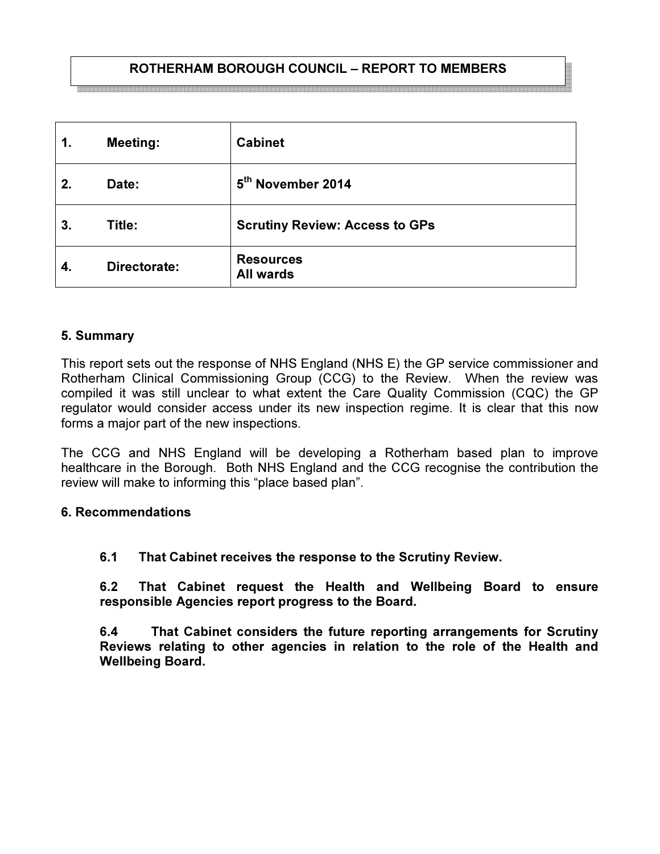# ROTHERHAM BOROUGH COUNCIL – REPORT TO MEMBERS

| 1. | <b>Meeting:</b> | <b>Cabinet</b>                        |
|----|-----------------|---------------------------------------|
| 2. | Date:           | 5 <sup>th</sup> November 2014         |
| 3. | Title:          | <b>Scrutiny Review: Access to GPs</b> |
| 4. | Directorate:    | <b>Resources</b><br><b>All wards</b>  |

### 5. Summary

This report sets out the response of NHS England (NHS E) the GP service commissioner and Rotherham Clinical Commissioning Group (CCG) to the Review. When the review was compiled it was still unclear to what extent the Care Quality Commission (CQC) the GP regulator would consider access under its new inspection regime. It is clear that this now forms a major part of the new inspections.

The CCG and NHS England will be developing a Rotherham based plan to improve healthcare in the Borough. Both NHS England and the CCG recognise the contribution the review will make to informing this "place based plan".

### 6. Recommendations

### 6.1 That Cabinet receives the response to the Scrutiny Review.

6.2 That Cabinet request the Health and Wellbeing Board to ensure responsible Agencies report progress to the Board.

6.4 That Cabinet considers the future reporting arrangements for Scrutiny Reviews relating to other agencies in relation to the role of the Health and Wellbeing Board.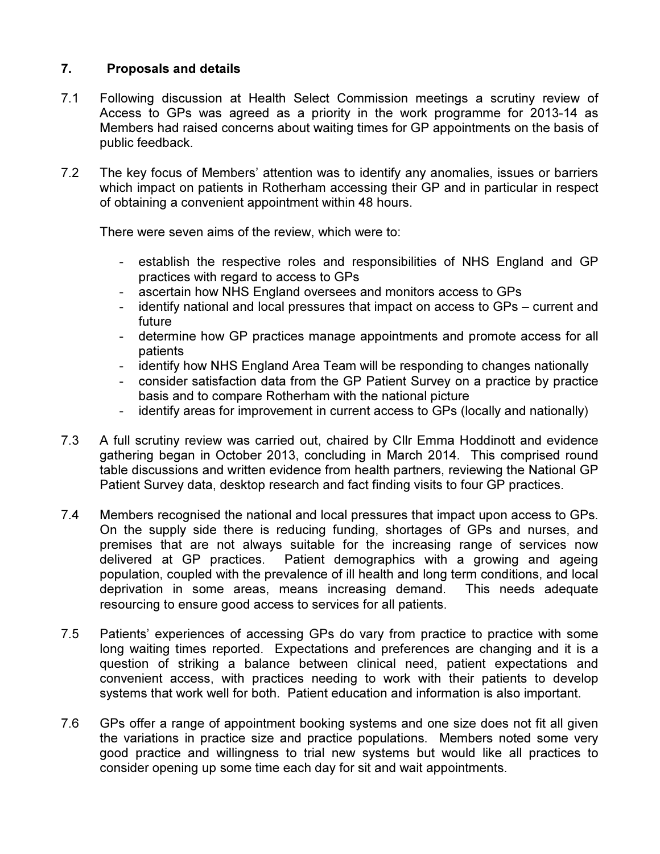## 7. Proposals and details

- 7.1 Following discussion at Health Select Commission meetings a scrutiny review of Access to GPs was agreed as a priority in the work programme for 2013-14 as Members had raised concerns about waiting times for GP appointments on the basis of public feedback.
- 7.2 The key focus of Members' attention was to identify any anomalies, issues or barriers which impact on patients in Rotherham accessing their GP and in particular in respect of obtaining a convenient appointment within 48 hours.

There were seven aims of the review, which were to:

- establish the respective roles and responsibilities of NHS England and GP practices with regard to access to GPs
- ascertain how NHS England oversees and monitors access to GPs
- identify national and local pressures that impact on access to GPs current and future
- determine how GP practices manage appointments and promote access for all patients
- identify how NHS England Area Team will be responding to changes nationally
- consider satisfaction data from the GP Patient Survey on a practice by practice basis and to compare Rotherham with the national picture
- identify areas for improvement in current access to GPs (locally and nationally)
- 7.3 A full scrutiny review was carried out, chaired by Cllr Emma Hoddinott and evidence gathering began in October 2013, concluding in March 2014. This comprised round table discussions and written evidence from health partners, reviewing the National GP Patient Survey data, desktop research and fact finding visits to four GP practices.
- 7.4 Members recognised the national and local pressures that impact upon access to GPs. On the supply side there is reducing funding, shortages of GPs and nurses, and premises that are not always suitable for the increasing range of services now delivered at GP practices. Patient demographics with a growing and ageing population, coupled with the prevalence of ill health and long term conditions, and local deprivation in some areas, means increasing demand. This needs adequate resourcing to ensure good access to services for all patients.
- 7.5 Patients' experiences of accessing GPs do vary from practice to practice with some long waiting times reported. Expectations and preferences are changing and it is a question of striking a balance between clinical need, patient expectations and convenient access, with practices needing to work with their patients to develop systems that work well for both. Patient education and information is also important.
- 7.6 GPs offer a range of appointment booking systems and one size does not fit all given the variations in practice size and practice populations. Members noted some very good practice and willingness to trial new systems but would like all practices to consider opening up some time each day for sit and wait appointments.